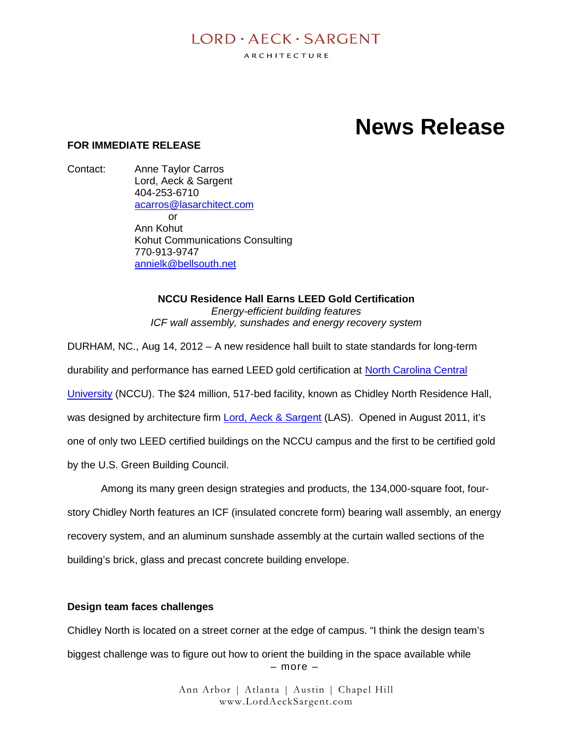# $I$  ORD  $\cdot$  AECK  $\cdot$  SARGENT

ARCHITECTURE

# **News Release**

#### **FOR IMMEDIATE RELEASE**

Contact: Anne Taylor Carros Lord, Aeck & Sargent 404-253-6710 acarros@lasarchitect.com  $\alpha$ r Ann Kohut Kohut Communications Consulting 770-913-9747 annielk@bellsouth.net

> **NCCU Residence Hall Earns LEED Gold Certification** *Energy-efficient building features ICF wall assembly, sunshades and energy recovery system*

DURHAM, NC., Aug 14, 2012 – A new residence hall built to state standards for long-term durability and performance has earned LEED gold certification at North Carolina Central University (NCCU). The \$24 million, 517-bed facility, known as Chidley North Residence Hall, was designed by architecture firm Lord, Aeck & Sargent (LAS). Opened in August 2011, it's one of only two LEED certified buildings on the NCCU campus and the first to be certified gold by the U.S. Green Building Council.

Among its many green design strategies and products, the 134,000-square foot, fourstory Chidley North features an ICF (insulated concrete form) bearing wall assembly, an energy recovery system, and an aluminum sunshade assembly at the curtain walled sections of the building's brick, glass and precast concrete building envelope.

#### **Design team faces challenges**

Chidley North is located on a street corner at the edge of campus. "I think the design team's

– more – biggest challenge was to figure out how to orient the building in the space available while

> Ann Arbor | Atlanta | Austin | Chapel Hill www.LordAeckSargent.com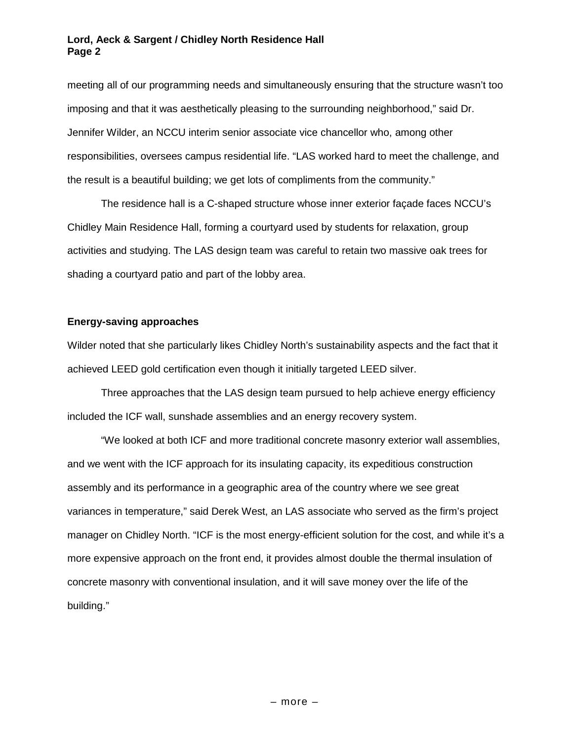meeting all of our programming needs and simultaneously ensuring that the structure wasn't too imposing and that it was aesthetically pleasing to the surrounding neighborhood," said Dr. Jennifer Wilder, an NCCU interim senior associate vice chancellor who, among other responsibilities, oversees campus residential life. "LAS worked hard to meet the challenge, and the result is a beautiful building; we get lots of compliments from the community."

The residence hall is a C-shaped structure whose inner exterior façade faces NCCU's Chidley Main Residence Hall, forming a courtyard used by students for relaxation, group activities and studying. The LAS design team was careful to retain two massive oak trees for shading a courtyard patio and part of the lobby area.

#### **Energy-saving approaches**

Wilder noted that she particularly likes Chidley North's sustainability aspects and the fact that it achieved LEED gold certification even though it initially targeted LEED silver.

Three approaches that the LAS design team pursued to help achieve energy efficiency included the ICF wall, sunshade assemblies and an energy recovery system.

"We looked at both ICF and more traditional concrete masonry exterior wall assemblies, and we went with the ICF approach for its insulating capacity, its expeditious construction assembly and its performance in a geographic area of the country where we see great variances in temperature," said Derek West, an LAS associate who served as the firm's project manager on Chidley North. "ICF is the most energy-efficient solution for the cost, and while it's a more expensive approach on the front end, it provides almost double the thermal insulation of concrete masonry with conventional insulation, and it will save money over the life of the building."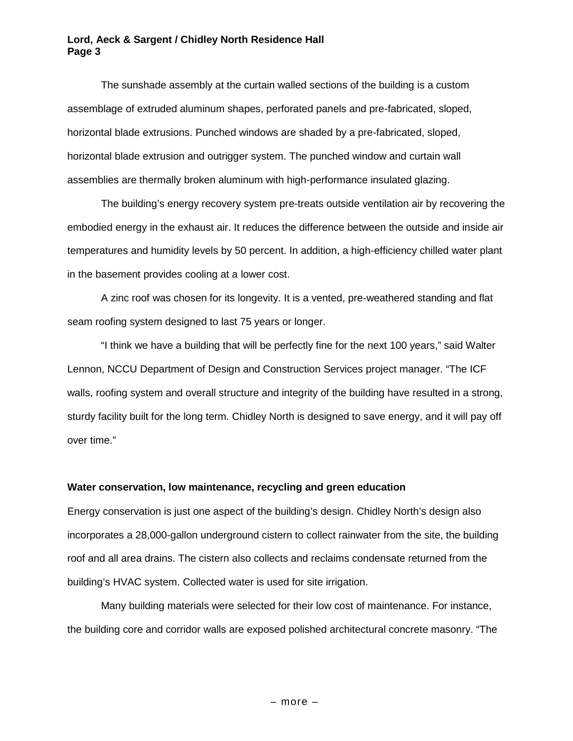The sunshade assembly at the curtain walled sections of the building is a custom assemblage of extruded aluminum shapes, perforated panels and pre-fabricated, sloped, horizontal blade extrusions. Punched windows are shaded by a pre-fabricated, sloped, horizontal blade extrusion and outrigger system. The punched window and curtain wall assemblies are thermally broken aluminum with high-performance insulated glazing.

The building's energy recovery system pre-treats outside ventilation air by recovering the embodied energy in the exhaust air. It reduces the difference between the outside and inside air temperatures and humidity levels by 50 percent. In addition, a high-efficiency chilled water plant in the basement provides cooling at a lower cost.

A zinc roof was chosen for its longevity. It is a vented, pre-weathered standing and flat seam roofing system designed to last 75 years or longer.

"I think we have a building that will be perfectly fine for the next 100 years," said Walter Lennon, NCCU Department of Design and Construction Services project manager. "The ICF walls, roofing system and overall structure and integrity of the building have resulted in a strong, sturdy facility built for the long term. Chidley North is designed to save energy, and it will pay off over time."

#### **Water conservation, low maintenance, recycling and green education**

Energy conservation is just one aspect of the building's design. Chidley North's design also incorporates a 28,000-gallon underground cistern to collect rainwater from the site, the building roof and all area drains. The cistern also collects and reclaims condensate returned from the building's HVAC system. Collected water is used for site irrigation.

Many building materials were selected for their low cost of maintenance. For instance, the building core and corridor walls are exposed polished architectural concrete masonry. "The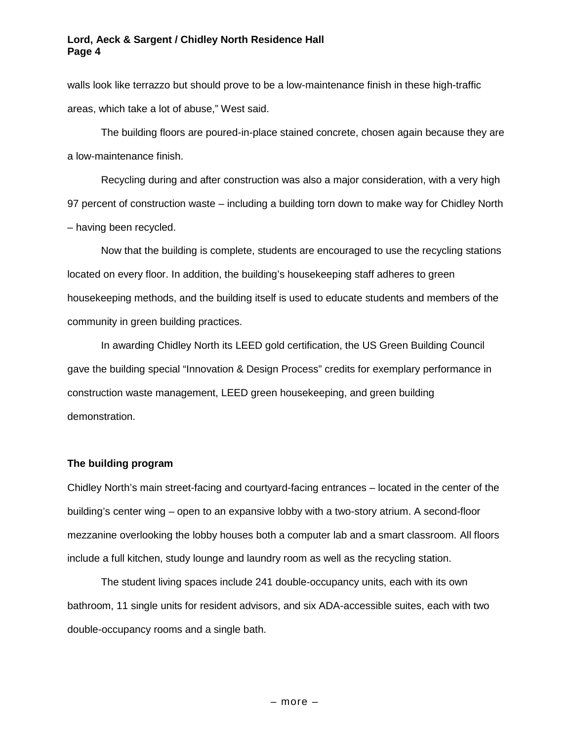#### **Lord, Aeck & Sargent / Chidley North Residence Hall Page 4**

walls look like terrazzo but should prove to be a low-maintenance finish in these high-traffic areas, which take a lot of abuse," West said.

The building floors are poured-in-place stained concrete, chosen again because they are a low-maintenance finish.

Recycling during and after construction was also a major consideration, with a very high 97 percent of construction waste – including a building torn down to make way for Chidley North – having been recycled.

Now that the building is complete, students are encouraged to use the recycling stations located on every floor. In addition, the building's housekeeping staff adheres to green housekeeping methods, and the building itself is used to educate students and members of the community in green building practices.

In awarding Chidley North its LEED gold certification, the US Green Building Council gave the building special "Innovation & Design Process" credits for exemplary performance in construction waste management, LEED green housekeeping, and green building demonstration.

#### **The building program**

Chidley North's main street-facing and courtyard-facing entrances – located in the center of the building's center wing – open to an expansive lobby with a two-story atrium. A second-floor mezzanine overlooking the lobby houses both a computer lab and a smart classroom. All floors include a full kitchen, study lounge and laundry room as well as the recycling station.

The student living spaces include 241 double-occupancy units, each with its own bathroom, 11 single units for resident advisors, and six ADA-accessible suites, each with two double-occupancy rooms and a single bath.